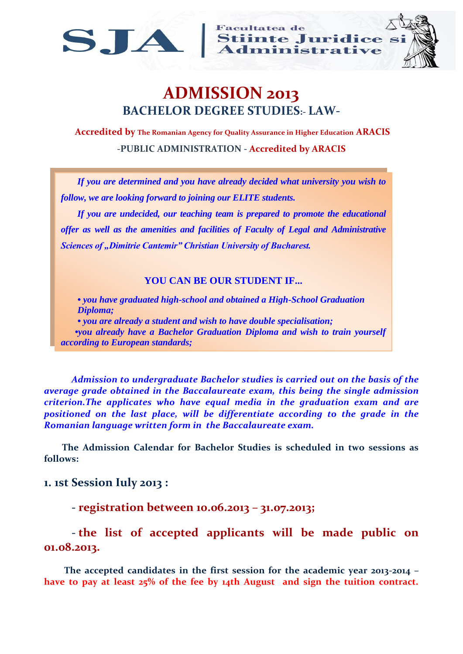

**Facultatea de** SJA Stiinte Juridice si



# **ADMISSION 2013 BACHELOR DEGREE STUDIES:- LAW-**

**Accredited by The Romanian Agency for Quality Assurance in Higher Education ARACIS -PUBLIC ADMINISTRATION - Accredited by ARACIS**

*If you are determined and you have already decided what university you wish to follow, we are looking forward to joining our ELITE students.*

*If you are undecided, our teaching team is prepared to promote the educational offer as well as the amenities and facilities of Faculty of Legal and Administrative*  **Sciences of "Dimitrie Cantemir" Christian University of Bucharest.** 

#### **YOU CAN BE OUR STUDENT IF...**

*• you have graduated high-school and obtained a High-School Graduation Diploma; • you are already a student and wish to have double specialisation; •you already have a Bachelor Graduation Diploma and wish to train yourself according to European standards;*

*Admission to undergraduate Bachelor studies is carried out on the basis of the average grade obtained in the Baccalaureate exam, this being the single admission criterion.The applicates who have equal media in the graduation exam and are positioned on the last place, will be differentiate according to the grade in the Romanian language written form in the Baccalaureate exam.*

 **The Admission Calendar for Bachelor Studies is scheduled in two sessions as follows:**

#### **1. 1st Session Iuly 2013 :**

**- registration between 10.06.2013 – 31.07.2013;**

## **- the list of accepted applicants will be made public on 01.08.2013.**

 **The accepted candidates in the first session for the academic year 2013-2014 – have to pay at least 25% of the fee by 14th August and sign the tuition contract.**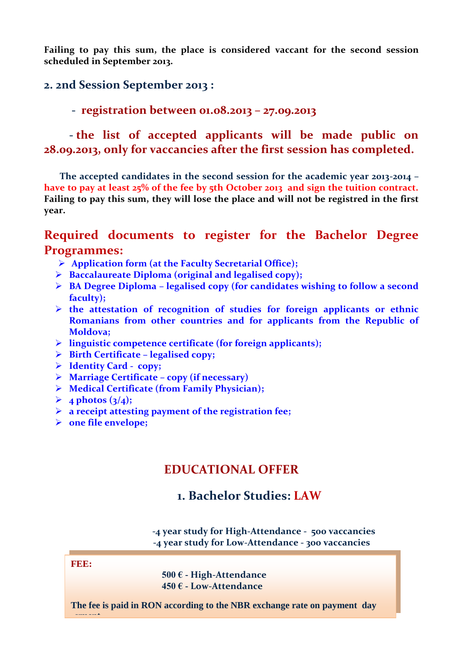**Failing to pay this sum, the place is considered vaccant for the second session scheduled in September 2013.** 

#### **2. 2nd Session September 2013 :**

**- registration between 01.08.2013 – 27.09.2013** 

 **- the list of accepted applicants will be made public on 28.09.2013, only for vaccancies after the first session has completed.**

 **The accepted candidates in the second session for the academic year 2013-2014 – have to pay at least 25% of the fee by 5th October 2013 and sign the tuition contract. Failing to pay this sum, they will lose the place and will not be registred in the first year.** 

## **Required documents to register for the Bachelor Degree Programmes:**

- **Application form (at the Faculty Secretarial Office);**
- **Baccalaureate Diploma (original and legalised copy);**
- **BA Degree Diploma – legalised copy (for candidates wishing to follow a second faculty);**
- **the attestation of recognition of studies for foreign applicants or ethnic Romanians from other countries and for applicants from the Republic of Moldova;**
- **linguistic competence certificate (for foreign applicants);**
- **Birth Certificate – legalised copy;**
- **Identity Card - copy;**
- **Marriage Certificate – copy (if necessary)**
- **Medical Certificate (from Family Physician);**
- $\triangleright$  4 photos (3/4);
- **a receipt attesting payment of the registration fee;**
- **one file envelope;**

## **EDUCATIONAL OFFER**

### **1. Bachelor Studies: LAW**

 **-4 year study for High-Attendance - 500 vaccancies -4 year study for Low-Attendance - 300 vaccancies**

**FEE:**

 **500 € - High-Attendance 450 € - Low-Attendance** 

**The fee is paid in RON according to the NBR exchange rate on payment day ..yment.**